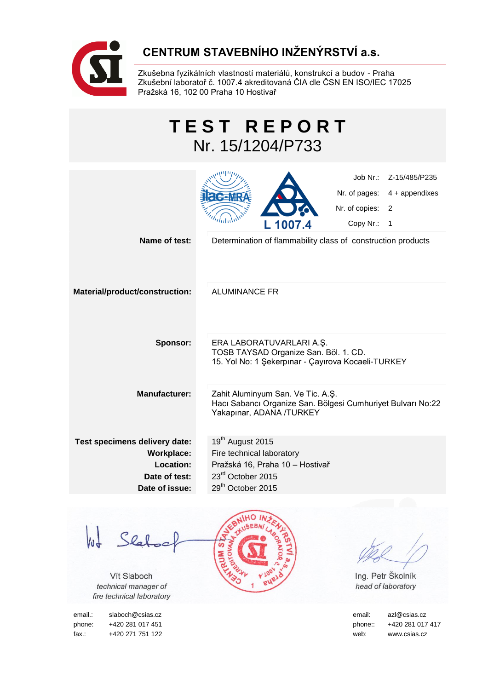

# **CENTRUM STAVEBNÍHO INŽENÝRSTVÍ a.s.**

Zkušebna fyzikálních vlastností materiálů, konstrukcí a budov - Praha Zkušební laboratoř č. 1007.4 akreditovaná ČIA dle ČSN EN ISO/IEC 17025 Pražská 16, 102 00 Praha 10 Hostivař

| <b>TEST REPORT</b><br>Nr. 15/1204/P733                                                      |                                                                                                                                                    |  |  |
|---------------------------------------------------------------------------------------------|----------------------------------------------------------------------------------------------------------------------------------------------------|--|--|
|                                                                                             | Job Nr.:<br>Z-15/485/P235<br>Nr. of pages:<br>$4 +$ appendixes<br>Nr. of copies:<br>2<br>Copy Nr.:<br>1<br>L 1007.4                                |  |  |
| Name of test:                                                                               | Determination of flammability class of construction products                                                                                       |  |  |
| Material/product/construction:                                                              | <b>ALUMINANCE FR</b>                                                                                                                               |  |  |
| Sponsor:                                                                                    | ERA LABORATUVARLARI A.Ş.<br>TOSB TAYSAD Organize San. Böl. 1. CD.<br>15. Yol No: 1 Şekerpinar - Çayırova Kocaeli-TURKEY                            |  |  |
| <b>Manufacturer:</b>                                                                        | Zahit Aluminyum San. Ve Tic. A.Ş.<br>Hacı Sabancı Organize San. Bölgesi Cumhuriyet Bulvarı No:22<br>Yakapınar, ADANA /TURKEY                       |  |  |
| Test specimens delivery date:<br>Workplace:<br>Location:<br>Date of test:<br>Date of issue: | 19 <sup>th</sup> August 2015<br>Fire technical laboratory<br>Pražská 16, Praha 10 - Hostivař<br>23rd October 2015<br>29 <sup>th</sup> October 2015 |  |  |

lot Slabool

Vít Slaboch *technical manager of fire technical laboratory*

phone: +420 281 017 451 phone: +420 281 017 417 fax.: +420 271 751 122 web: www.csias.cz



Ing. Petr Školník *head of laboratory*

email.: slaboch@csias.cz email: azl@csias.cz email: azl@csias.cz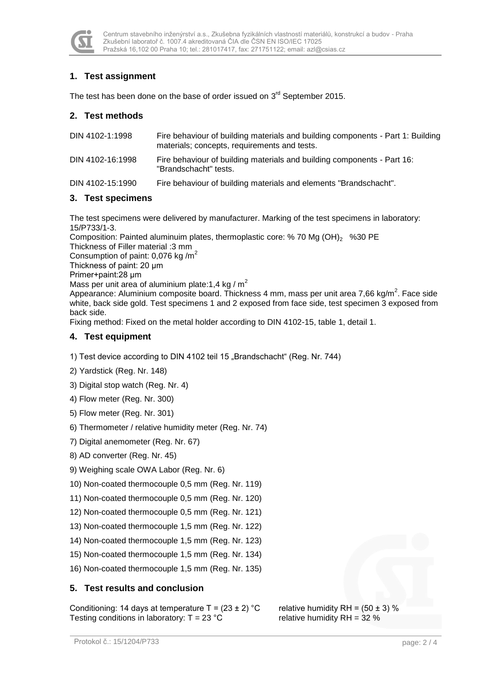

## **1. Test assignment**

The test has been done on the base of order issued on  $3<sup>rd</sup>$  September 2015.

#### **2. Test methods**

| Fire behaviour of building materials and elements "Brandschacht".               |
|---------------------------------------------------------------------------------|
|                                                                                 |
| Fire behaviour of building materials and building components - Part 16:         |
| Fire behaviour of building materials and building components - Part 1: Building |
|                                                                                 |

#### **3. Test specimens**

The test specimens were delivered by manufacturer. Marking of the test specimens in laboratory: 15/P733/1-3.

Composition: Painted aluminuim plates, thermoplastic core: % 70 Mg  $(OH)_2$  %30 PE Thickness of Filler material :3 mm

Consumption of paint: 0,076 kg /m<sup>2</sup>

Thickness of paint: 20 μm

Primer+paint:28 μm

Mass per unit area of aluminium plate: 1.4 kg /  $m^2$ 

Appearance: Aluminium composite board. Thickness 4 mm, mass per unit area 7,66 kg/m<sup>2</sup>. Face side white, back side gold. Test specimens 1 and 2 exposed from face side, test specimen 3 exposed from back side.

Fixing method: Fixed on the metal holder according to DIN 4102-15, table 1, detail 1.

#### **4. Test equipment**

1) Test device according to DIN 4102 teil 15 .Brandschacht" (Reg. Nr. 744)

- 2) Yardstick (Reg. Nr. 148)
- 3) Digital stop watch (Reg. Nr. 4)
- 4) Flow meter (Reg. Nr. 300)
- 5) Flow meter (Reg. Nr. 301)
- 6) Thermometer / relative humidity meter (Reg. Nr. 74)
- 7) Digital anemometer (Reg. Nr. 67)
- 8) AD converter (Reg. Nr. 45)
- 9) Weighing scale OWA Labor (Reg. Nr. 6)
- 10) Non-coated thermocouple 0,5 mm (Reg. Nr. 119)
- 11) Non-coated thermocouple 0,5 mm (Reg. Nr. 120)
- 12) Non-coated thermocouple 0,5 mm (Reg. Nr. 121)
- 13) Non-coated thermocouple 1,5 mm (Reg. Nr. 122)
- 14) Non-coated thermocouple 1,5 mm (Reg. Nr. 123)
- 15) Non-coated thermocouple 1,5 mm (Reg. Nr. 134)
- 16) Non-coated thermocouple 1,5 mm (Reg. Nr. 135)

#### **5. Test results and conclusion**

Conditioning: 14 days at temperature  $T = (23 \pm 2) °C$  relative humidity RH =  $(50 \pm 3) %$ Testing conditions in laboratory:  $T = 23 \degree C$  relative humidity RH = 32 %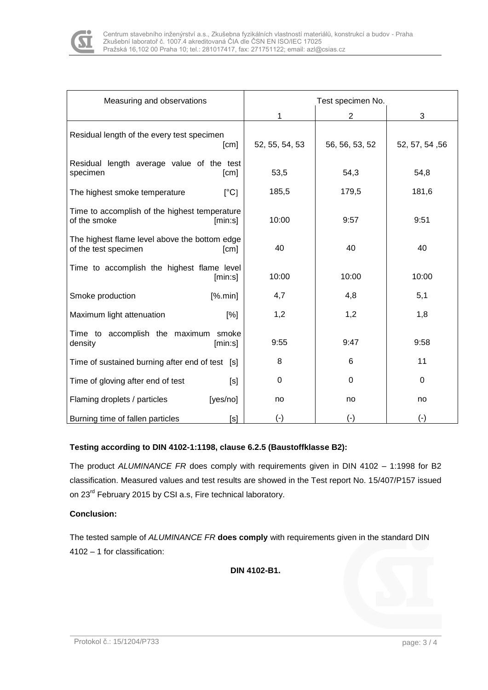

| Measuring and observations                                                    | Test specimen No. |                |                |
|-------------------------------------------------------------------------------|-------------------|----------------|----------------|
|                                                                               | 1                 | $\overline{2}$ | 3              |
| Residual length of the every test specimen<br>[cm]                            | 52, 55, 54, 53    | 56, 56, 53, 52 | 52, 57, 54, 56 |
| Residual length average value of the test<br>specimen<br>[cm]                 | 53,5              | 54,3           | 54,8           |
| $[^{\circ}C]$<br>The highest smoke temperature                                | 185,5             | 179,5          | 181,6          |
| Time to accomplish of the highest temperature<br>of the smoke<br>[min:s]      | 10:00             | 9:57           | 9:51           |
| The highest flame level above the bottom edge<br>of the test specimen<br>[cm] | 40                | 40             | 40             |
| Time to accomplish the highest flame level<br>[min:s]                         | 10:00             | 10:00          | 10:00          |
| Smoke production<br>[% . min]                                                 | 4,7               | 4,8            | 5,1            |
| Maximum light attenuation<br>[%]                                              | 1,2               | 1,2            | 1,8            |
| Time to accomplish the maximum smoke<br>density<br>[min:s]                    | 9:55              | 9:47           | 9:58           |
| Time of sustained burning after end of test [s]                               | 8                 | 6              | 11             |
| Time of gloving after end of test<br>[s]                                      | 0                 | 0              | 0              |
| Flaming droplets / particles<br>[yes/no]                                      | no                | no             | no             |
| Burning time of fallen particles<br>[s]                                       | $(\cdot)$         | $(\cdot)$      | $(\cdot)$      |

### **Testing according to DIN 4102-1:1198, clause 6.2.5 (Baustoffklasse B2):**

The product *ALUMINANCE FR* does comply with requirements given in DIN 4102 – 1:1998 for B2 classification. Measured values and test results are showed in the Test report No. 15/407/P157 issued on 23<sup>rd</sup> February 2015 by CSI a.s, Fire technical laboratory.

#### **Conclusion:**

The tested sample of *ALUMINANCE FR* **does comply** with requirements given in the standard DIN 4102 – 1 for classification:

**DIN 4102-B1.**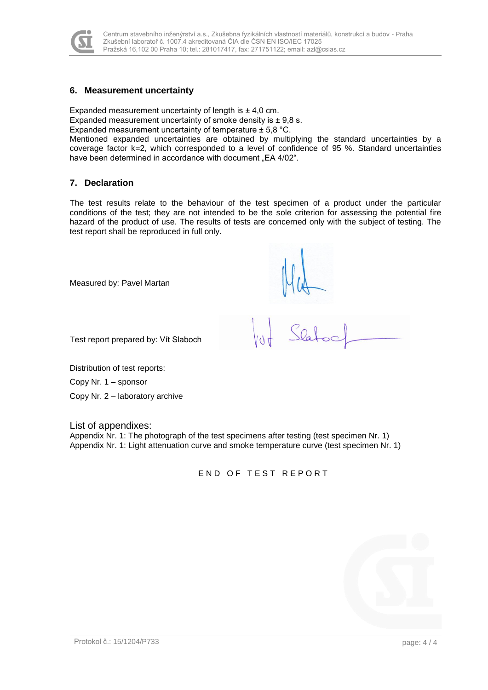

#### **6. Measurement uncertainty**

Expanded measurement uncertainty of length is  $\pm$  4,0 cm.

Expanded measurement uncertainty of smoke density is  $\pm$  9,8 s.

Expanded measurement uncertainty of temperature ± 5,8 °C.

Mentioned expanded uncertainties are obtained by multiplying the standard uncertainties by a coverage factor k=2, which corresponded to a level of confidence of 95 %. Standard uncertainties have been determined in accordance with document "EA 4/02".

#### **7. Declaration**

The test results relate to the behaviour of the test specimen of a product under the particular conditions of the test; they are not intended to be the sole criterion for assessing the potential fire hazard of the product of use. The results of tests are concerned only with the subject of testing. The test report shall be reproduced in full only.

Measured by: Pavel Martan

 $\sqrt{2}$ 

Test report prepared by: Vít Slaboch

Distribution of test reports:

Copy Nr. 1 – sponsor

Copy Nr. 2 – laboratory archive

List of appendixes:

Appendix Nr. 1: The photograph of the test specimens after testing (test specimen Nr. 1) Appendix Nr. 1: Light attenuation curve and smoke temperature curve (test specimen Nr. 1)

END OF TEST REPORT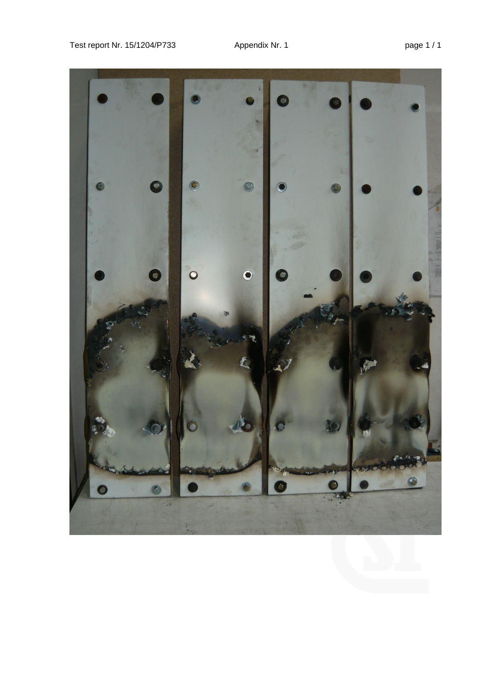